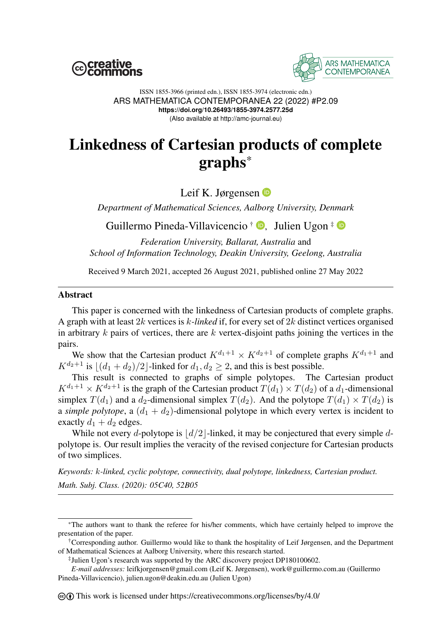



ISSN 1855-3966 (printed edn.), ISSN 1855-3974 (electronic edn.) ARS MATHEMATICA CONTEMPORANEA 22 (2022) #P2.09 **https://doi.org/10.26493/1855-3974.2577.25d** (Also available at http://amc-journal.eu)

# Linkedness of Cartesian products of complete graphs\*

Leif K. Jørgensen **D** 

*Department of Mathematical Sciences, Aalborg University, Denmark*

Guillermo Pineda-Villavicencio † [,](https://orcid.org/0000-0002-2904-6657) Julien Ugon ‡

*Federation University, Ballarat, Australia* and *School of Information Technology, Deakin University, Geelong, Australia*

Received 9 March 2021, accepted 26 August 2021, published online 27 May 2022

#### Abstract

This paper is concerned with the linkedness of Cartesian products of complete graphs. A graph with at least 2k vertices is k*-linked* if, for every set of 2k distinct vertices organised in arbitrary  $k$  pairs of vertices, there are  $k$  vertex-disjoint paths joining the vertices in the pairs.

We show that the Cartesian product  $K^{d_1+1} \times K^{d_2+1}$  of complete graphs  $K^{d_1+1}$  and  $K^{d_2+1}$  is  $|(d_1 + d_2)/2|$ -linked for  $d_1, d_2 \ge 2$ , and this is best possible.

This result is connected to graphs of simple polytopes. The Cartesian product  $K^{d_1+1} \times K^{d_2+1}$  is the graph of the Cartesian product  $T(d_1) \times T(d_2)$  of a  $d_1$ -dimensional simplex  $T(d_1)$  and a  $d_2$ -dimensional simplex  $T(d_2)$ . And the polytope  $T(d_1) \times T(d_2)$  is a *simple polytope*, a  $(d_1 + d_2)$ -dimensional polytope in which every vertex is incident to exactly  $d_1 + d_2$  edges.

While not every d-polytope is  $\lfloor d/2 \rfloor$ -linked, it may be conjectured that every simple dpolytope is. Our result implies the veracity of the revised conjecture for Cartesian products of two simplices.

*Keywords:* k*-linked, cyclic polytope, connectivity, dual polytope, linkedness, Cartesian product. Math. Subj. Class. (2020): 05C40, 52B05*

<sup>\*</sup>The authors want to thank the referee for his/her comments, which have certainly helped to improve the presentation of the paper.

<sup>†</sup>Corresponding author. Guillermo would like to thank the hospitality of Leif Jørgensen, and the Department of Mathematical Sciences at Aalborg University, where this research started.

<sup>‡</sup> Julien Ugon's research was supported by the ARC discovery project DP180100602.

*E-mail addresses:* leifkjorgensen@gmail.com (Leif K. Jørgensen), work@guillermo.com.au (Guillermo Pineda-Villavicencio), julien.ugon@deakin.edu.au (Julien Ugon)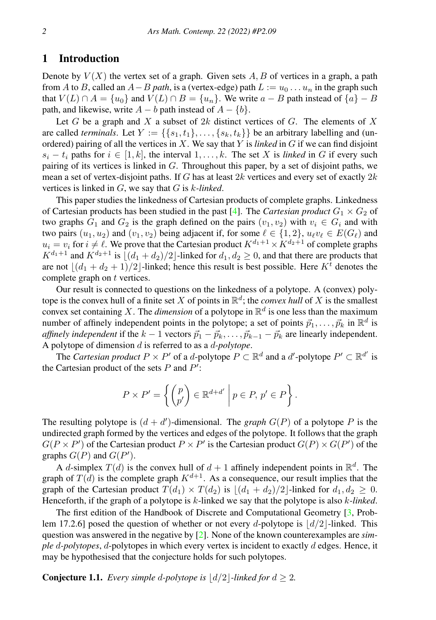#### 1 Introduction

Denote by  $V(X)$  the vertex set of a graph. Given sets  $A, B$  of vertices in a graph, a path from A to B, called an  $A - B$  *path*, is a (vertex-edge) path  $L := u_0 \dots u_n$  in the graph such that  $V(L) \cap A = \{u_0\}$  and  $V(L) \cap B = \{u_n\}$ . We write  $a - B$  path instead of  $\{a\} - B$ path, and likewise, write  $A - b$  path instead of  $A - \{b\}$ .

Let G be a graph and X a subset of  $2k$  distinct vertices of G. The elements of X are called *terminals*. Let  $Y := \{\{s_1, t_1\}, \ldots, \{s_k, t_k\}\}\$ be an arbitrary labelling and (unordered) pairing of all the vertices in X. We say that Y is *linked* in G if we can find disjoint  $s_i - t_i$  paths for  $i \in [1, k]$ , the interval  $1, \ldots, k$ . The set X is *linked* in G if every such pairing of its vertices is linked in  $G$ . Throughout this paper, by a set of disjoint paths, we mean a set of vertex-disjoint paths. If G has at least  $2k$  vertices and every set of exactly  $2k$ vertices is linked in G, we say that G is k*-linked*.

This paper studies the linkedness of Cartesian products of complete graphs. Linkedness of Cartesian products has been studied in the past [\[4\]](#page-9-0). The *Cartesian product*  $G_1 \times G_2$  of two graphs  $G_1$  and  $G_2$  is the graph defined on the pairs  $(v_1, v_2)$  with  $v_i \in G_i$  and with two pairs  $(u_1, u_2)$  and  $(v_1, v_2)$  being adjacent if, for some  $\ell \in \{1, 2\}$ ,  $u_\ell v_\ell \in E(G_\ell)$  and  $u_i = v_i$  for  $i \neq \ell$ . We prove that the Cartesian product  $K^{d_1+1} \times K^{d_2+1}$  of complete graphs  $K^{d_1+1}$  and  $K^{d_2+1}$  is  $\left[ (d_1 + d_2)/2 \right]$ -linked for  $d_1, d_2 \geq 0$ , and that there are products that are not  $\lfloor (d_1 + d_2 + 1)/2 \rfloor$ -linked; hence this result is best possible. Here  $K^{\bar{t}}$  denotes the complete graph on t vertices.

Our result is connected to questions on the linkedness of a polytope. A (convex) polytope is the convex hull of a finite set X of points in  $\mathbb{R}^d$ ; the *convex hull* of X is the smallest convex set containing X. The *dimension* of a polytope in  $\mathbb{R}^d$  is one less than the maximum number of affinely independent points in the polytope; a set of points  $\vec{p}_1, \dots, \vec{p}_k$  in  $\mathbb{R}^d$  is *affinely independent* if the  $k - 1$  vectors  $\vec{p}_1 - \vec{p}_k, \ldots, \vec{p}_{k-1} - \vec{p}_k$  are linearly independent. A polytope of dimension d is referred to as a d*-polytope*.

The *Cartesian product*  $P \times P'$  of a *d*-polytope  $P \subset \mathbb{R}^d$  and a *d'*-polytope  $P' \subset \mathbb{R}^{d'}$  is the Cartesian product of the sets  $P$  and  $P'$ :

$$
P \times P' = \left\{ \begin{pmatrix} p \\ p' \end{pmatrix} \in \mathbb{R}^{d+d'} \mid p \in P, p' \in P \right\}.
$$

The resulting polytope is  $(d + d')$ -dimensional. The *graph*  $G(P)$  of a polytope P is the undirected graph formed by the vertices and edges of the polytope. It follows that the graph  $G(P \times P')$  of the Cartesian product  $P \times P'$  is the Cartesian product  $G(P) \times G(P')$  of the graphs  $G(P)$  and  $G(P')$ .

A d-simplex  $T(d)$  is the convex hull of  $d + 1$  affinely independent points in  $\mathbb{R}^d$ . The graph of  $T(d)$  is the complete graph  $K^{d+1}$ . As a consequence, our result implies that the graph of the Cartesian product  $T(d_1) \times T(d_2)$  is  $|(d_1 + d_2)/2|$ -linked for  $d_1, d_2 \ge 0$ . Henceforth, if the graph of a polytope is k-linked we say that the polytope is also k*-linked*.

The first edition of the Handbook of Discrete and Computational Geometry [\[3,](#page-9-1) Problem 17.2.6] posed the question of whether or not every d-polytope is  $\frac{d}{2}$ -linked. This question was answered in the negative by [\[2\]](#page-9-2). None of the known counterexamples are *simple* d*-polytopes*, d-polytopes in which every vertex is incident to exactly d edges. Hence, it may be hypothesised that the conjecture holds for such polytopes.

**Conjecture 1.1.** *Every simple d-polytope is*  $\lfloor d/2 \rfloor$ *-linked for*  $d \geq 2$ *.*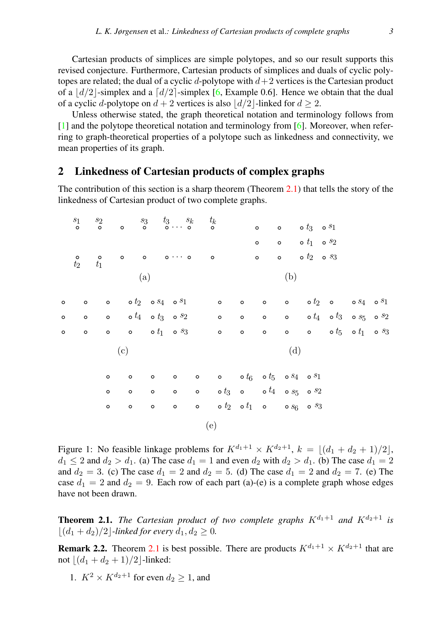Cartesian products of simplices are simple polytopes, and so our result supports this revised conjecture. Furthermore, Cartesian products of simplices and duals of cyclic polytopes are related; the dual of a cyclic d-polytope with  $d+2$  vertices is the Cartesian product of a  $\frac{d}{2}$ -simplex and a  $\frac{d}{2}$ -simplex [\[6,](#page-9-3) Example 0.6]. Hence we obtain that the dual of a cyclic d-polytope on  $d + 2$  vertices is also  $\lfloor d/2 \rfloor$ -linked for  $d > 2$ .

Unless otherwise stated, the graph theoretical notation and terminology follows from [\[1\]](#page-9-4) and the polytope theoretical notation and terminology from [\[6\]](#page-9-3). Moreover, when referring to graph-theoretical properties of a polytope such as linkedness and connectivity, we mean properties of its graph.

#### 2 Linkedness of Cartesian products of complex graphs

The contribution of this section is a sharp theorem (Theorem  $(2.1)$  $(2.1)$ ) that tells the story of the linkedness of Cartesian product of two complete graphs.

|         | $s_1$<br>$\circ$ | $s_2$<br>$\circ$          | $\circ$                                           |         | $s_3$ $t_3$ $s_k$ $t_k$                             |                                   |                                                                                 |         | $\circ$         | $\circ$ $\circ$ $t_3$ $\circ$ $s_1$ |                             |                                                                 |  |
|---------|------------------|---------------------------|---------------------------------------------------|---------|-----------------------------------------------------|-----------------------------------|---------------------------------------------------------------------------------|---------|-----------------|-------------------------------------|-----------------------------|-----------------------------------------------------------------|--|
|         |                  |                           |                                                   |         |                                                     |                                   |                                                                                 |         |                 |                                     |                             |                                                                 |  |
|         |                  |                           |                                                   |         |                                                     |                                   |                                                                                 |         | $\circ$         | $\circ$ $\circ$ $t_1$ $\circ$ $s_2$ |                             |                                                                 |  |
|         | $t_2$            | $t_1^{\circ}$             | $\circ$                                           |         | $\circ$ $\circ \cdots \circ$                        | $\overline{\phantom{0}}$          |                                                                                 |         | $\circ$         | $\circ$                             | $\circ$ $t_2$ $\circ$ $s_3$ |                                                                 |  |
|         |                  |                           |                                                   | (a)     |                                                     |                                   |                                                                                 |         |                 | (b)                                 |                             |                                                                 |  |
| $\circ$ | $\circ$          |                           | $\circ$ $\circ$ $t_2$ $\circ$ $s_4$ $\circ$ $s_1$ |         |                                                     | $\overline{a}$ and $\overline{a}$ |                                                                                 | $\circ$ | $\circ$         |                                     |                             | $\circ$ $\circ$ $t_2$ $\circ$ $\circ$ $s_4$ $\circ$ $s_1$       |  |
| $\circ$ | $\circ$          | o o $t_4$ o $t_3$ o $s_2$ |                                                   |         |                                                     |                                   | $\overline{\mathbf{Q}}$                                                         |         | $\circ$ $\circ$ |                                     |                             | $\circ$ $\circ$ $t_4$ $\circ$ $t_3$ $\circ$ $s_5$ $\circ$ $s_2$ |  |
| $\circ$ | $\circ$          |                           |                                                   |         | $\circ$ $\circ$ $\circ$ $t_1$ $\circ$ $s_3$ $\circ$ |                                   |                                                                                 | $\circ$ | $\circ$         | $\circ$                             |                             | $\circ$ $\circ t_5$ $\circ t_1$ $\circ s_3$                     |  |
|         |                  |                           | (c)                                               |         |                                                     |                                   |                                                                                 |         |                 | (d)                                 |                             |                                                                 |  |
|         |                  | $\circ$                   | $\circ$                                           | $\circ$ | $\circ$                                             |                                   | $\circ$ $\circ$ $\circ$ $t_{6}$ $\circ$ $t_{5}$ $\circ$ $s_{4}$ $\circ$ $s_{1}$ |         |                 |                                     |                             |                                                                 |  |
|         |                  | $\circ$                   | $\circ$                                           | $\circ$ | $\circ$                                             |                                   | $\circ$ $\circ$ $t_3$ $\circ$ $\circ$ $\circ$ $t_4$ $\circ$ $s_5$ $\circ$ $s_2$ |         |                 |                                     |                             |                                                                 |  |
|         |                  | $\circ$                   | $\circ$                                           | $\circ$ | $\circ$                                             | $\circ$                           | o $t_2$ o $t_1$ o o $s_6$ os $3$                                                |         |                 |                                     |                             |                                                                 |  |
|         |                  |                           |                                                   |         |                                                     | (e)                               |                                                                                 |         |                 |                                     |                             |                                                                 |  |
|         |                  |                           |                                                   |         |                                                     |                                   |                                                                                 |         |                 |                                     |                             |                                                                 |  |

<span id="page-2-1"></span>Figure 1: No feasible linkage problems for  $K^{d_1+1} \times K^{d_2+1}$ ,  $k = \lfloor (d_1 + d_2 + 1)/2 \rfloor$ ,  $d_1 \leq 2$  and  $d_2 > d_1$ . (a) The case  $d_1 = 1$  and even  $d_2$  with  $d_2 > d_1$ . (b) The case  $d_1 = 2$ and  $d_2 = 3$ . (c) The case  $d_1 = 2$  and  $d_2 = 5$ . (d) The case  $d_1 = 2$  and  $d_2 = 7$ . (e) The case  $d_1 = 2$  and  $d_2 = 9$ . Each row of each part (a)-(e) is a complete graph whose edges have not been drawn.

<span id="page-2-0"></span>**Theorem 2.1.** *The Cartesian product of two complete graphs*  $K^{d_1+1}$  *and*  $K^{d_2+1}$  *is*  $|(d_1 + d_2)/2|$ *-linked for every*  $d_1, d_2 \ge 0$ *.* 

**Remark 2.2.** Theorem [2.1](#page-2-0) is best possible. There are products  $K^{d_1+1} \times K^{d_2+1}$  that are not  $|(d_1 + d_2 + 1)/2|$ -linked:

1.  $K^2 \times K^{d_2+1}$  for even  $d_2 \geq 1$ , and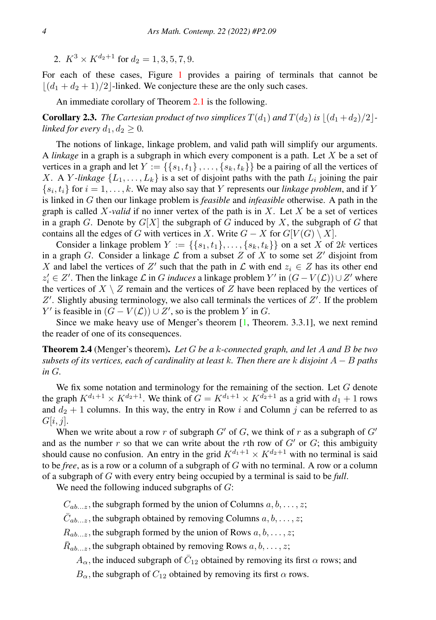2.  $K^3 \times K^{d_2+1}$  for  $d_2 = 1, 3, 5, 7, 9$ .

For each of these cases, Figure [1](#page-2-1) provides a pairing of terminals that cannot be  $\lfloor (d_1 + d_2 + 1)/2 \rfloor$ -linked. We conjecture these are the only such cases.

An immediate corollary of Theorem [2.1](#page-2-0) is the following.

**Corollary 2.3.** *The Cartesian product of two simplices*  $T(d_1)$  *and*  $T(d_2)$  *is*  $\left| \frac{d_1 + d_2}{2} \right|$ *linked for every*  $d_1, d_2 \geq 0$ *.* 

The notions of linkage, linkage problem, and valid path will simplify our arguments. A *linkage* in a graph is a subgraph in which every component is a path. Let X be a set of vertices in a graph and let  $Y := \{ \{s_1, t_1\}, \ldots, \{s_k, t_k\} \}$  be a pairing of all the vertices of X. A Y-linkage  $\{L_1, \ldots, L_k\}$  is a set of disjoint paths with the path  $L_i$  joining the pair  $\{s_i, t_i\}$  for  $i = 1, \ldots, k$ . We may also say that Y represents our *linkage problem*, and if Y is linked in G then our linkage problem is *feasible* and *infeasible* otherwise. A path in the graph is called  $X$ -valid if no inner vertex of the path is in  $X$ . Let  $X$  be a set of vertices in a graph G. Denote by  $G[X]$  the subgraph of G induced by X, the subgraph of G that contains all the edges of G with vertices in X. Write  $G - X$  for  $G[V(G) \setminus X]$ .

Consider a linkage problem  $Y := \{\{s_1, t_1\}, \ldots, \{s_k, t_k\}\}\$ on a set X of 2k vertices in a graph G. Consider a linkage  $\mathcal L$  from a subset Z of X to some set Z' disjoint from X and label the vertices of Z' such that the path in  $\mathcal L$  with end  $z_i \in \mathbb Z$  has its other end  $z'_{i}$  ∈ Z'. Then the linkage  $\mathcal{L}$  in G *induces* a linkage problem Y' in  $(G - V(\mathcal{L})) \cup Z'$  where the vertices of  $X \setminus Z$  remain and the vertices of Z have been replaced by the vertices of  $Z'$ . Slightly abusing terminology, we also call terminals the vertices of  $Z'$ . If the problem Y' is feasible in  $(G - V(\mathcal{L})) \cup Z'$ , so is the problem Y in G.

Since we make heavy use of Menger's theorem  $[1,$  Theorem. 3.3.1], we next remind the reader of one of its consequences.

<span id="page-3-0"></span>Theorem 2.4 (Menger's theorem). *Let* G *be a* k*-connected graph, and let* A *and* B *be two subsets of its vertices, each of cardinality at least* k*. Then there are* k *disjoint* A − B *paths in* G*.*

We fix some notation and terminology for the remaining of the section. Let  $G$  denote the graph  $K^{d_1+1} \times K^{d_2+1}$ . We think of  $G = K^{d_1+1} \times K^{d_2+1}$  as a grid with  $d_1 + 1$  rows and  $d_2 + 1$  columns. In this way, the entry in Row i and Column j can be referred to as  $G[i, j]$ .

When we write about a row r of subgraph  $G'$  of G, we think of r as a subgraph of  $G'$ and as the number r so that we can write about the rth row of  $G'$  or  $G$ ; this ambiguity should cause no confusion. An entry in the grid  $K^{d_1+1} \times K^{d_2+1}$  with no terminal is said to be *free*, as is a row or a column of a subgraph of G with no terminal. A row or a column of a subgraph of G with every entry being occupied by a terminal is said to be *full*.

We need the following induced subgraphs of  $G$ :

 $C_{ab...z}$ , the subgraph formed by the union of Columns  $a, b, \ldots, z;$ 

 $\bar{C}_{ab...z}$ , the subgraph obtained by removing Columns  $a, b, \ldots, z;$ 

 $R_{ab...z}$ , the subgraph formed by the union of Rows  $a, b, \ldots, z$ ;

 $\bar{R}_{ab...z}$ , the subgraph obtained by removing Rows  $a, b, \ldots, z;$ 

 $A_{\alpha}$ , the induced subgraph of  $\bar{C}_{12}$  obtained by removing its first  $\alpha$  rows; and

 $B_{\alpha}$ , the subgraph of  $C_{12}$  obtained by removing its first  $\alpha$  rows.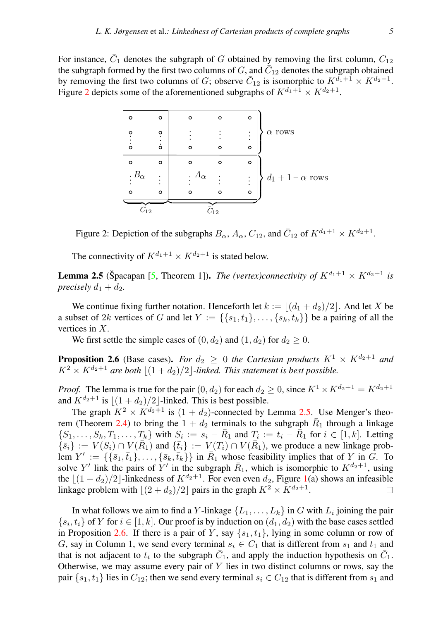For instance,  $\bar{C}_1$  denotes the subgraph of G obtained by removing the first column,  $C_{12}$ the subgraph formed by the first two columns of  $G,$  and  $\bar{C}_{12}$  denotes the subgraph obtained by removing the first two columns of G; observe  $\bar{C}_{12}$  is isomorphic to  $K^{d_1+1} \times K^{d_2-1}$ . Figure [2](#page-4-0) depicts some of the aforementioned subgraphs of  $K^{d_1+1} \times K^{d_2+1}$ .

| o             | o                              | $\circ$                   | ი        | $\circ$                                     |                     |
|---------------|--------------------------------|---------------------------|----------|---------------------------------------------|---------------------|
| o<br>$\Omega$ | $\dot{\cdot}$<br>$\dot{\circ}$ | $\Omega$                  |          | $\vdots$<br>$\ddot{\phantom{0}}$<br>$\circ$ | $\alpha$ rows       |
| $\circ$       | $\circ$                        | o                         | റ        | $\circ$                                     |                     |
| $B_{\alpha}$  | ٠                              | $A_{\alpha}$<br>$\bullet$ |          | $\vdots$                                    | $d_1+1-\alpha$ rows |
| $\circ$       | $\circ$                        | $\circ$                   |          | $\circ$                                     |                     |
|               |                                |                           |          |                                             |                     |
| $C_{12}$      |                                |                           | $C_{12}$ |                                             |                     |

<span id="page-4-0"></span>Figure 2: Depiction of the subgraphs  $B_{\alpha}$ ,  $A_{\alpha}$ ,  $C_{12}$ , and  $\overline{C}_{12}$  of  $K^{d_1+1} \times K^{d_2+1}$ .

The connectivity of  $K^{d_1+1} \times K^{d_2+1}$  is stated below.

<span id="page-4-1"></span>**Lemma 2.5** (Špacapan [[5,](#page-9-5) Theorem 1]). *The (vertex)connectivity of*  $K^{d_1+1} \times K^{d_2+1}$  *is precisely*  $d_1 + d_2$ *.* 

We continue fixing further notation. Henceforth let  $k := |(d_1 + d_2)/2|$ . And let X be a subset of 2k vertices of G and let  $Y := \{\{s_1, t_1\}, \ldots, \{s_k, t_k\}\}\)$  be a pairing of all the vertices in X.

We first settle the simple cases of  $(0, d_2)$  and  $(1, d_2)$  for  $d_2 \geq 0$ .

<span id="page-4-2"></span>**Proposition 2.6** (Base cases). *For*  $d_2 \geq 0$  *the Cartesian products*  $K^1 \times K^{d_2+1}$  *and*  $K^2 \times K^{d_2+1}$  are both  $|(1+d_2)/2|$ *-linked. This statement is best possible.* 

*Proof.* The lemma is true for the pair  $(0, d_2)$  for each  $d_2 \geq 0$ , since  $K^1 \times K^{d_2+1} = K^{d_2+1}$ and  $K^{d_2+1}$  is  $|(1+d_2)/2|$ -linked. This is best possible.

The graph  $K^2 \times K^{d_2+1}$  is  $(1 + d_2)$ -connected by Lemma [2.5.](#page-4-1) Use Menger's theo-rem (Theorem [2.4\)](#page-3-0) to bring the  $1 + d_2$  terminals to the subgraph  $\overline{R}_1$  through a linkage  $\{S_1,\ldots,S_k,T_1,\ldots,T_k\}$  with  $S_i := s_i - \bar{R}_1$  and  $T_i := t_i - \bar{R}_1$  for  $i \in [1,k]$ . Letting  $\{\bar{s}_i\} := V(S_i) \cap V(\bar{R}_1)$  and  $\{\bar{t}_i\} := V(T_i) \cap V(\bar{R}_1)$ , we produce a new linkage problem  $Y' := \{ \{\bar{s}_1, \bar{t}_1\}, \ldots, \{\bar{s}_k, \bar{t}_k\} \}$  in  $\bar{R}_1$  whose feasibility implies that of Y in  $\tilde{G}$ . To solve Y' link the pairs of Y' in the subgraph  $\bar{R}_1$ , which is isomorphic to  $K^{d_2+1}$ , using the  $|(1 + d_2)/2|$ -linkedness of  $K^{d_2+1}$ . For even even  $d_2$ , Figure [1\(](#page-2-1)a) shows an infeasible linkage problem with  $\lfloor (2 + d_2)/2 \rfloor$  pairs in the graph  $K^2 \times K^{d_2+1}$ . П

In what follows we aim to find a  $Y$ -linkage  $\{L_1,\ldots,L_k\}$  in  $G$  with  $L_i$  joining the pair  $\{s_i, t_i\}$  of Y for  $i \in [1, k]$ . Our proof is by induction on  $(d_1, d_2)$  with the base cases settled in Proposition [2.6.](#page-4-2) If there is a pair of Y, say  $\{s_1, t_1\}$ , lying in some column or row of G, say in Column 1, we send every terminal  $s_i \in C_1$  that is different from  $s_1$  and  $t_1$  and that is not adjacent to  $t_i$  to the subgraph  $\bar{C}_1$ , and apply the induction hypothesis on  $\bar{C}_1$ . Otherwise, we may assume every pair of  $Y$  lies in two distinct columns or rows, say the pair  $\{s_1, t_1\}$  lies in  $C_{12}$ ; then we send every terminal  $s_i \in C_{12}$  that is different from  $s_1$  and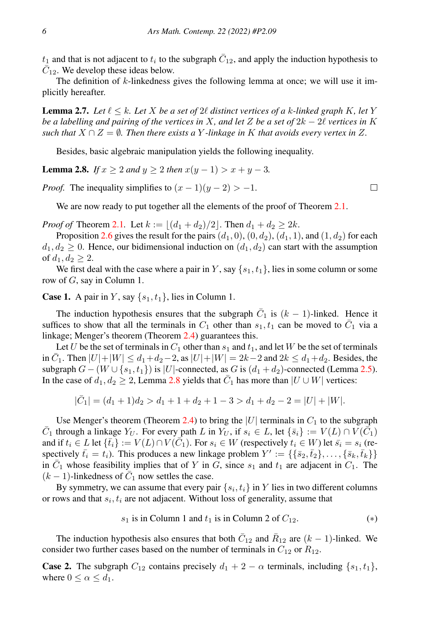$t_1$  and that is not adjacent to  $t_i$  to the subgraph  $\bar{C}_{12}$ , and apply the induction hypothesis to  $\overline{C}_{12}$ . We develop these ideas below.

The definition of  $k$ -linkedness gives the following lemma at once; we will use it implicitly hereafter.

**Lemma 2.7.** Let  $\ell \leq k$ . Let X be a set of 2 $\ell$  distinct vertices of a k-linked graph K, let Y *be a labelling and pairing of the vertices in* X*, and let* Z *be a set of* 2k − 2ℓ *vertices in* K *such that*  $X \cap Z = \emptyset$ *. Then there exists a* Y-linkage in K *that avoids every vertex in* Z.

Besides, basic algebraic manipulation yields the following inequality.

<span id="page-5-0"></span>**Lemma 2.8.** *If*  $x > 2$  *and*  $y > 2$  *then*  $x(y - 1) > x + y - 3$ *.* 

*Proof.* The inequality simplifies to  $(x - 1)(y - 2) > -1$ .

We are now ready to put together all the elements of the proof of Theorem [2.1.](#page-2-0)

*Proof of* Theorem [2.1](#page-2-0). Let  $k := |(d_1 + d_2)/2|$ . Then  $d_1 + d_2 \geq 2k$ .

Proposition [2.6](#page-4-2) gives the result for the pairs  $(d_1, 0)$ ,  $(0, d_2)$ ,  $(d_1, 1)$ , and  $(1, d_2)$  for each  $d_1, d_2 \geq 0$ . Hence, our bidimensional induction on  $(d_1, d_2)$  can start with the assumption of  $d_1, d_2 \geq 2$ .

We first deal with the case where a pair in Y, say  $\{s_1, t_1\}$ , lies in some column or some row of G, say in Column 1.

**Case 1.** A pair in Y, say  $\{s_1, t_1\}$ , lies in Column 1.

The induction hypothesis ensures that the subgraph  $\overline{C}_1$  is  $(k-1)$ -linked. Hence it suffices to show that all the terminals in  $C_1$  other than  $s_1, t_1$  can be moved to  $\overline{C}_1$  via a linkage; Menger's theorem (Theorem [2.4\)](#page-3-0) guarantees this.

Let U be the set of terminals in  $C_1$  other than  $s_1$  and  $t_1$ , and let W be the set of terminals in  $\bar{C}_1$ . Then  $|U| + |W| \le d_1 + d_2 - 2$ , as  $|U| + |W| = 2k - 2$  and  $2k \le d_1 + d_2$ . Besides, the subgraph  $G - (W \cup \{s_1, t_1\})$  is |U|-connected, as G is  $(d_1 + d_2)$ -connected (Lemma [2.5\)](#page-4-1). In the case of  $d_1, d_2 \ge 2$ , Lemma [2.8](#page-5-0) yields that  $\overline{C}_1$  has more than  $|U \cup W|$  vertices:

 $|\bar{C}_1| = (d_1 + 1)d_2 > d_1 + 1 + d_2 + 1 - 3 > d_1 + d_2 - 2 = |U| + |W|.$ 

Use Menger's theorem (Theorem [2.4\)](#page-3-0) to bring the |U| terminals in  $C_1$  to the subgraph  $\bar{C}_1$  through a linkage  $Y_U$ . For every path L in  $Y_U$ , if  $s_i \in L$ , let  $\{\bar{s}_i\} := V(L) \cap V(\bar{C}_1)$ and if  $t_i \in L$  let  $\{\bar{t}_i\} := V(L) \cap V(\bar{C}_1)$ . For  $s_i \in W$  (respectively  $t_i \in W$ ) let  $\bar{s}_i = s_i$  (respectively  $\bar{t}_i = t_i$ ). This produces a new linkage problem  $Y' := \{\{\bar{s}_2, \bar{t}_2\}, \dots, \{\bar{s}_k, \bar{t}_k\}\}\$ in  $\bar{C}_1$  whose feasibility implies that of Y in G, since  $s_1$  and  $t_1$  are adjacent in  $C_1$ . The  $(k-1)$ -linkedness of  $\overline{C}_1$  now settles the case.

By symmetry, we can assume that every pair  $\{s_i, t_i\}$  in Y lies in two different columns or rows and that  $s_i, t_i$  are not adjacent. Without loss of generality, assume that

$$
s_1 \text{ is in Column 1 and } t_1 \text{ is in Column 2 of } C_{12}. \tag{*}
$$

The induction hypothesis also ensures that both  $\bar{C}_{12}$  and  $\bar{R}_{12}$  are  $(k-1)$ -linked. We consider two further cases based on the number of terminals in  $C_{12}$  or  $R_{12}$ .

<span id="page-5-1"></span>**Case 2.** The subgraph  $C_{12}$  contains precisely  $d_1 + 2 - \alpha$  terminals, including  $\{s_1, t_1\}$ , where  $0 \leq \alpha \leq d_1$ .

 $\Box$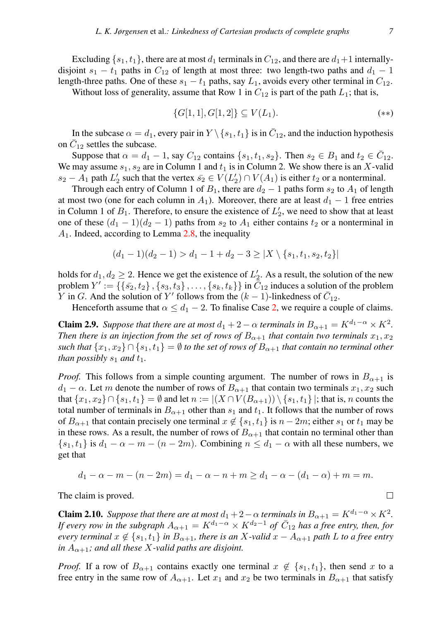Excluding  $\{s_1, t_1\}$ , there are at most  $d_1$  terminals in  $C_{12}$ , and there are  $d_1+1$  internallydisjoint  $s_1 - t_1$  paths in  $C_{12}$  of length at most three: two length-two paths and  $d_1 - 1$ length-three paths. One of these  $s_1 - t_1$  paths, say  $L_1$ , avoids every other terminal in  $C_{12}$ .

Without loss of generality, assume that Row 1 in  $C_{12}$  is part of the path  $L_1$ ; that is,

<span id="page-6-1"></span>
$$
\{G[1,1], G[1,2]\} \subseteq V(L_1). \tag{**}
$$

In the subcase  $\alpha = d_1$ , every pair in  $Y \setminus \{s_1, t_1\}$  is in  $\overline{C}_{12}$ , and the induction hypothesis on  $\bar{C}_{12}$  settles the subcase.

Suppose that  $\alpha = d_1 - 1$ , say  $C_{12}$  contains  $\{s_1, t_1, s_2\}$ . Then  $s_2 \in B_1$  and  $t_2 \in \overline{C}_{12}$ . We may assume  $s_1, s_2$  are in Column 1 and  $t_1$  is in Column 2. We show there is an X-valid  $s_2 - A_1$  path  $L'_2$  such that the vertex  $\bar{s_2} \in V(L'_2) \cap V(A_1)$  is either  $t_2$  or a nonterminal.

Through each entry of Column 1 of  $B_1$ , there are  $d_2 - 1$  paths form  $s_2$  to  $A_1$  of length at most two (one for each column in  $A_1$ ). Moreover, there are at least  $d_1 - 1$  free entries in Column 1 of  $B_1$ . Therefore, to ensure the existence of  $L'_2$ , we need to show that at least one of these  $(d_1 - 1)(d_2 - 1)$  paths from  $s_2$  to  $A_1$  either contains  $t_2$  or a nonterminal in  $A_1$ . Indeed, according to Lemma [2.8,](#page-5-0) the inequality

$$
(d_1 - 1)(d_2 - 1) > d_1 - 1 + d_2 - 3 \ge |X \setminus \{s_1, t_1, s_2, t_2\}|
$$

holds for  $d_1, d_2 \ge 2$ . Hence we get the existence of  $L'_2$ . As a result, the solution of the new problem  $Y' := \{\{\bar{s_2}, t_2\}, \{s_3, t_3\}, \ldots, \{s_k, t_k\}\}$  in  $\bar{\bar{C}}_{12}$  induces a solution of the problem Y in G. And the solution of Y' follows from the  $(k-1)$ -linkedness of  $\overline{C}_{12}$ .

Henceforth assume that  $\alpha \leq d_1 - 2$ . To finalise Case [2,](#page-5-1) we require a couple of claims.

<span id="page-6-0"></span>**Claim 2.9.** *Suppose that there are at most*  $d_1 + 2 - \alpha$  *terminals in*  $B_{\alpha+1} = K^{d_1 - \alpha} \times K^2$ *. Then there is an injection from the set of rows of*  $B_{\alpha+1}$  *that contain two terminals*  $x_1, x_2$ *such that*  $\{x_1, x_2\} \cap \{s_1, t_1\} = \emptyset$  *to the set of rows of*  $B_{\alpha+1}$  *that contain no terminal other than possibly*  $s_1$  *and*  $t_1$ *.* 

*Proof.* This follows from a simple counting argument. The number of rows in  $B_{\alpha+1}$  is  $d_1 - \alpha$ . Let m denote the number of rows of  $B_{\alpha+1}$  that contain two terminals  $x_1, x_2$  such that  $\{x_1, x_2\} \cap \{s_1, t_1\} = \emptyset$  and let  $n := |(X \cap V(B_{\alpha+1})) \setminus \{s_1, t_1\}|$ ; that is, n counts the total number of terminals in  $B_{\alpha+1}$  other than  $s_1$  and  $t_1$ . It follows that the number of rows of  $B_{\alpha+1}$  that contain precisely one terminal  $x \notin \{s_1, t_1\}$  is  $n-2m$ ; either  $s_1$  or  $t_1$  may be in these rows. As a result, the number of rows of  $B_{\alpha+1}$  that contain no terminal other than  $\{s_1, t_1\}$  is  $d_1 - \alpha - m - (n - 2m)$ . Combining  $n \leq d_1 - \alpha$  with all these numbers, we get that

$$
d_1 - \alpha - m - (n - 2m) = d_1 - \alpha - n + m \ge d_1 - \alpha - (d_1 - \alpha) + m = m.
$$

The claim is proved.

<span id="page-6-2"></span>**Claim 2.10.** *Suppose that there are at most*  $d_1 + 2 - \alpha$  *terminals in*  $B_{\alpha+1} = K^{d_1 - \alpha} \times K^2$ *. If every row in the subgraph*  $A_{\alpha+1} = K^{d_1 - \alpha} \times K^{d_2 - 1}$  *of*  $\overline{C}_{12}$  *has a free entry, then, for every terminal*  $x \notin \{s_1, t_1\}$  *in*  $B_{\alpha+1}$ *, there is an* X-valid  $x - A_{\alpha+1}$  *path* L *to a free entry in*  $A_{\alpha+1}$ *; and all these X-valid paths are disjoint.* 

*Proof.* If a row of  $B_{\alpha+1}$  contains exactly one terminal  $x \notin \{s_1, t_1\}$ , then send x to a free entry in the same row of  $A_{\alpha+1}$ . Let  $x_1$  and  $x_2$  be two terminals in  $B_{\alpha+1}$  that satisfy

 $\Box$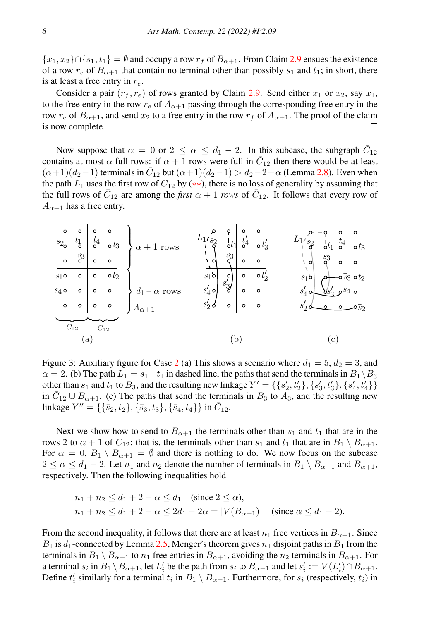${x_1, x_2} \cap {s_1, t_1} = \emptyset$  and occupy a row  $r_f$  of  $B_{\alpha+1}$ . From Claim [2.9](#page-6-0) ensues the existence of a row  $r_e$  of  $B_{\alpha+1}$  that contain no terminal other than possibly  $s_1$  and  $t_1$ ; in short, there is at least a free entry in  $r_e$ .

Consider a pair  $(r_f, r_e)$  of rows granted by Claim [2.9.](#page-6-0) Send either  $x_1$  or  $x_2$ , say  $x_1$ , to the free entry in the row  $r_e$  of  $A_{\alpha+1}$  passing through the corresponding free entry in the row  $r_e$  of  $B_{\alpha+1}$ , and send  $x_2$  to a free entry in the row  $r_f$  of  $A_{\alpha+1}$ . The proof of the claim is now complete. П

Now suppose that  $\alpha = 0$  or  $2 \le \alpha \le d_1 - 2$ . In this subcase, the subgraph  $\overline{C}_{12}$ contains at most  $\alpha$  full rows: if  $\alpha + 1$  rows were full in  $\overline{C}_{12}$  then there would be at least  $(\alpha+1)(d_2-1)$  terminals in  $\overline{C}_{12}$  but  $(\alpha+1)(d_2-1) > d_2-2+\alpha$  (Lemma [2.8\)](#page-5-0). Even when the path  $L_1$  uses the first row of  $C_{12}$  by (\*\*), there is no loss of generality by assuming that the full rows of  $\bar{C}_{12}$  are among the *first*  $\alpha + 1$  *rows* of  $\bar{C}_{12}$ . It follows that every row of  $A_{\alpha+1}$  has a free entry.



<span id="page-7-0"></span>Figure 3: Auxiliary figure for Case [2](#page-5-1) (a) This shows a scenario where  $d_1 = 5$ ,  $d_2 = 3$ , and  $\alpha = 2$ . (b) The path  $L_1 = s_1 - t_1$  in dashed line, the paths that send the terminals in  $B_1 \setminus B_3$ other than  $s_1$  and  $t_1$  to  $B_3$ , and the resulting new linkage  $Y' = \{\{s'_2, t'_2\}, \{s'_3, t'_3\}, \{s'_4, t'_4\}\}\$ in  $\bar{C}_{12} \cup B_{\alpha+1}$ . (c) The paths that send the terminals in  $B_3$  to  $A_3$ , and the resulting new linkage  $Y'' = \{\{\bar{s}_2, \bar{t}_2\}, \{\bar{s}_3, \bar{t}_3\}, \{\bar{s}_4, \bar{t}_4\}\}\$  in  $\bar{C}_{12}$ .

Next we show how to send to  $B_{\alpha+1}$  the terminals other than  $s_1$  and  $t_1$  that are in the rows 2 to  $\alpha + 1$  of  $C_{12}$ ; that is, the terminals other than  $s_1$  and  $t_1$  that are in  $B_1 \setminus B_{\alpha+1}$ . For  $\alpha = 0$ ,  $B_1 \setminus B_{\alpha+1} = \emptyset$  and there is nothing to do. We now focus on the subcase  $2 \le \alpha \le d_1 - 2$ . Let  $n_1$  and  $n_2$  denote the number of terminals in  $B_1 \setminus B_{\alpha+1}$  and  $B_{\alpha+1}$ , respectively. Then the following inequalities hold

$$
n_1 + n_2 \le d_1 + 2 - \alpha \le d_1 \quad \text{(since } 2 \le \alpha\text{)},
$$
  
\n
$$
n_1 + n_2 \le d_1 + 2 - \alpha \le 2d_1 - 2\alpha = |V(B_{\alpha+1})| \quad \text{(since } \alpha \le d_1 - 2\text{)}.
$$

From the second inequality, it follows that there are at least  $n_1$  free vertices in  $B_{\alpha+1}$ . Since  $B_1$  is  $d_1$ -connected by Lemma [2.5,](#page-4-1) Menger's theorem gives  $n_1$  disjoint paths in  $B_1$  from the terminals in  $B_1 \setminus B_{\alpha+1}$  to  $n_1$  free entries in  $B_{\alpha+1}$ , avoiding the  $n_2$  terminals in  $B_{\alpha+1}$ . For a terminal  $s_i$  in  $B_1 \setminus B_{\alpha+1}$ , let  $L'_i$  be the path from  $s_i$  to  $B_{\alpha+1}$  and let  $s'_i := V(L'_i) \cap B_{\alpha+1}$ . Define  $t'_i$  similarly for a terminal  $t_i$  in  $B_1 \setminus B_{\alpha+1}$ . Furthermore, for  $s_i$  (respectively,  $t_i$ ) in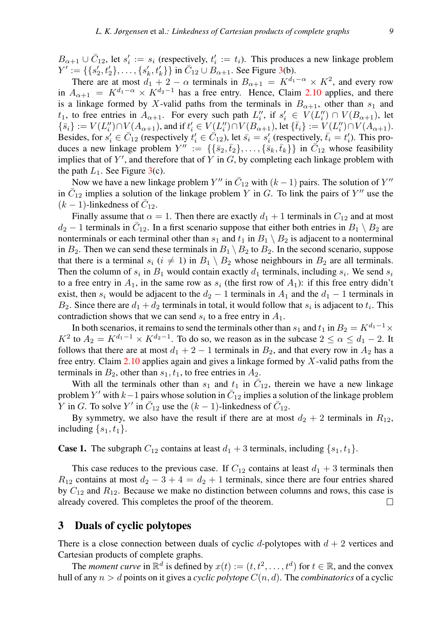$B_{\alpha+1} \cup \overline{C}_{12}$ , let  $s'_i := s_i$  (respectively,  $t'_i := t_i$ ). This produces a new linkage problem  $Y' := \{\{s'_2, t'_2\}, \ldots, \{s'_k, t'_k\}\}\$  in  $\bar{C}_{12} \cup \bar{B}_{\alpha+1}$ . See Figure [3\(](#page-7-0)b).

There are at most  $d_1 + 2 - \alpha$  terminals in  $B_{\alpha+1} = K^{d_1 - \alpha} \times K^2$ , and every row in  $A_{\alpha+1} = K^{d_1-\alpha} \times K^{d_2-1}$  has a free entry. Hence, Claim [2.10](#page-6-2) applies, and there is a linkage formed by X-valid paths from the terminals in  $B_{\alpha+1}$ , other than  $s_1$  and  $t_1$ , to free entries in  $A_{\alpha+1}$ . For every such path  $L_i''$ , if  $s_i' \in V(L_i'') \cap V(B_{\alpha+1})$ , let  $\{\bar{s}_i\} := V(L''_i) \cap V(A_{\alpha+1}),$  and if  $t'_i \in V(\underline{L''_i}) \cap V(B_{\alpha+1}),$  let  $\{\bar{t}_i\} := V(\underline{L''_i}) \cap V(A_{\alpha+1}).$ Besides, for  $s'_i \in \bar{C}_{12}$  (respectively  $t'_i \in \bar{C}_{12}$ ), let  $\bar{s}_i = s'_i$  (respectively,  $\bar{t}_i = t'_i$ ). This produces a new linkage problem  $Y'' := \{\{\bar{s}_2, \bar{t}_2\}, \dots, \{\bar{s}_k, \bar{t}_k\}\}\$ in  $\bar{C}_{12}$  whose feasibility implies that of  $Y'$ , and therefore that of Y in  $G$ , by completing each linkage problem with the path  $L_1$ . See Figure [3\(](#page-7-0)c).

Now we have a new linkage problem Y'' in  $\bar{C}_{12}$  with  $(k-1)$  pairs. The solution of Y'' in  $\overline{C}_{12}$  implies a solution of the linkage problem Y in G. To link the pairs of Y'' use the  $(k-1)$ -linkedness of  $\bar{C}_{12}$ .

Finally assume that  $\alpha = 1$ . Then there are exactly  $d_1 + 1$  terminals in  $C_{12}$  and at most  $d_2 - 1$  terminals in  $\bar{C}_{12}$ . In a first scenario suppose that either both entries in  $B_1 \setminus B_2$  are nonterminals or each terminal other than  $s_1$  and  $t_1$  in  $B_1 \setminus B_2$  is adjacent to a nonterminal in  $B_2$ . Then we can send these terminals in  $B_1 \setminus B_2$  to  $B_2$ . In the second scenario, suppose that there is a terminal  $s_i$   $(i \neq 1)$  in  $B_1 \setminus B_2$  whose neighbours in  $B_2$  are all terminals. Then the column of  $s_i$  in  $B_1$  would contain exactly  $d_1$  terminals, including  $s_i$ . We send  $s_i$ to a free entry in  $A_1$ , in the same row as  $s_i$  (the first row of  $A_1$ ): if this free entry didn't exist, then  $s_i$  would be adjacent to the  $d_2 - 1$  terminals in  $A_1$  and the  $d_1 - 1$  terminals in  $B_2$ . Since there are  $d_1 + d_2$  terminals in total, it would follow that  $s_i$  is adjacent to  $t_i$ . This contradiction shows that we can send  $s_i$  to a free entry in  $A_1$ .

In both scenarios, it remains to send the terminals other than  $s_1$  and  $t_1$  in  $B_2 = K^{d_1-1} \times$  $K^2$  to  $A_2 = K^{d_1-1} \times K^{d_2-1}$ . To do so, we reason as in the subcase  $2 \le \alpha \le d_1 - 2$ . It follows that there are at most  $d_1 + 2 - 1$  terminals in  $B_2$ , and that every row in  $A_2$  has a free entry. Claim  $2.10$  applies again and gives a linkage formed by X-valid paths from the terminals in  $B_2$ , other than  $s_1, t_1$ , to free entries in  $A_2$ .

With all the terminals other than  $s_1$  and  $t_1$  in  $\overline{C}_{12}$ , therein we have a new linkage problem Y' with  $k-1$  pairs whose solution in  $\bar{C}_{12}$  implies a solution of the linkage problem Y in G. To solve Y' in  $\overline{C}_{12}$  use the  $(k-1)$ -linkedness of  $\overline{C}_{12}$ .

By symmetry, we also have the result if there are at most  $d_2 + 2$  terminals in  $R_{12}$ , including  $\{s_1, t_1\}$ .

**Case 1.** The subgraph  $C_{12}$  contains at least  $d_1 + 3$  terminals, including  $\{s_1, t_1\}$ .

This case reduces to the previous case. If  $C_{12}$  contains at least  $d_1 + 3$  terminals then  $R_{12}$  contains at most  $d_2 - 3 + 4 = d_2 + 1$  terminals, since there are four entries shared by  $C_{12}$  and  $R_{12}$ . Because we make no distinction between columns and rows, this case is already covered. This completes the proof of the theorem.  $\Box$ 

#### 3 Duals of cyclic polytopes

There is a close connection between duals of cyclic d-polytopes with  $d + 2$  vertices and Cartesian products of complete graphs.

The *moment curve* in  $\mathbb{R}^d$  is defined by  $x(t) := (t, t^2, \dots, t^d)$  for  $t \in \mathbb{R}$ , and the convex hull of any  $n > d$  points on it gives a *cyclic polytope*  $C(n, d)$ . The *combinatorics* of a cyclic